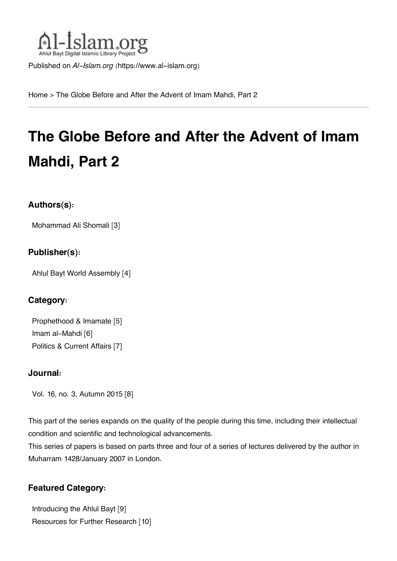

Published on *Al-Islam.org* ([https://www.al-islam.org\)](https://www.al-islam.org)

[Home](https://www.al-islam.org/) > The Globe Before and After the Advent of Imam Mahdi, Part 2

# **The Globe Before and After the Advent of Imam Mahdi, Part 2**

#### **Authors(s):**

[Mohammad Ali Shomali](https://www.al-islam.org/person/mohammad-ali-shomali) [3]

#### **Publisher(s):**

[Ahlul Bayt World Assembly](https://www.al-islam.org/organization/ahlul-bayt-world-assembly) [4]

#### **Category:**

[Prophethood & Imamate](https://www.al-islam.org/library/prophethood-imamate) [5] [Imam al-Mahdi](https://www.al-islam.org/library/imam-al-mahdi) [6] [Politics & Current Affairs](https://www.al-islam.org/library/politics-current-affairs) [7]

#### **Journal:**

[Vol. 16, no. 3, Autumn 2015](https://www.al-islam.org/journals/vol-16-no-3-autumn-2015) [8]

This part of the series expands on the quality of the people during this time, including their intellectual condition and scientific and technological advancements.

This series of papers is based on parts three and four of a series of lectures delivered by the author in Muharram 1428/January 2007 in London.

#### **Featured Category:**

[Introducing the Ahlul Bayt](https://www.al-islam.org/feature/introducing-ahlul-bayt) [9] [Resources for Further Research](https://www.al-islam.org/feature/resources-further-research) [10]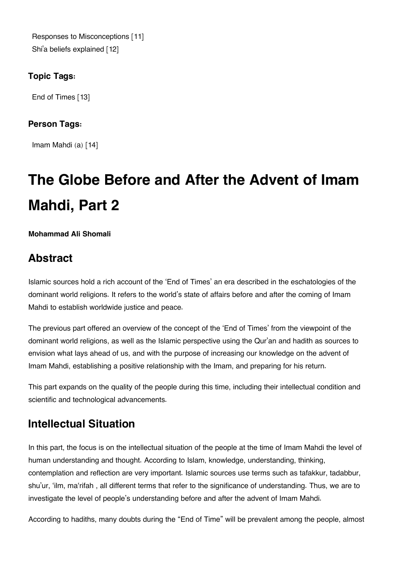[Responses to Misconceptions](https://www.al-islam.org/feature/responses-misconceptions) [11] Shi['a beliefs explained](https://www.al-islam.org/feature/shia-beliefs-explained) [12]

### **Topic Tags:**

[End of Times](https://www.al-islam.org/tags/end-times) [13]

### **Person Tags:**

[Imam Mahdi \(a\)](https://www.al-islam.org/person/imam-al-mahdi) [14]

# **The Globe Before and After the Advent of Imam Mahdi, Part 2**

**Mohammad Ali Shomali**

## **[Abstract](#page--1-0)**

Islamic sources hold a rich account of the 'End of Times' an era described in the eschatologies of the dominant world religions. It refers to the world's state of affairs before and after the coming of Imam Mahdi to establish worldwide justice and peace.

The previous part offered an overview of the concept of the 'End of Times' from the viewpoint of the dominant world religions, as well as the Islamic perspective using the Qur'an and hadith as sources to envision what lays ahead of us, and with the purpose of increasing our knowledge on the advent of Imam Mahdi, establishing a positive relationship with the Imam, and preparing for his return.

This part expands on the quality of the people during this time, including their intellectual condition and scientific and technological advancements.

## **[Intellectual Situation](#page--1-0)**

In this part, the focus is on the intellectual situation of the people at the time of Imam Mahdi the level of human understanding and thought. According to Islam, knowledge, understanding, thinking, contemplation and reflection are very important. Islamic sources use terms such as tafakkur, tadabbur, shu'ur, 'ilm, ma'rifah , all different terms that refer to the significance of understanding. Thus, we are to investigate the level of people's understanding before and after the advent of Imam Mahdi.

According to hadiths, many doubts during the "End of Time" will be prevalent among the people, almost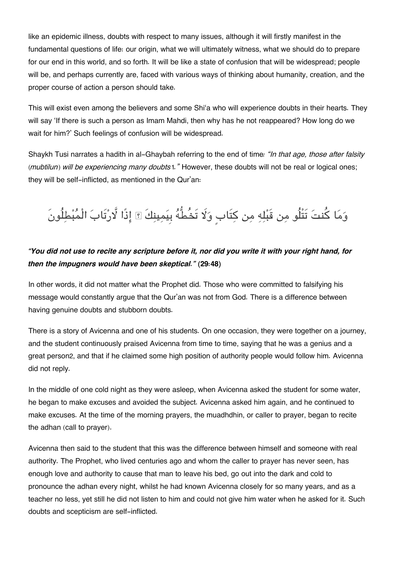like an epidemic illness, doubts with respect to many issues, although it will firstly manifest in the fundamental questions of life: our origin, what we will ultimately witness, what we should do to prepare for our end in this world, and so forth. It will be like a state of confusion that will be widespread; people will be, and perhaps currently are, faced with various ways of thinking about humanity, creation, and the proper course of action a person should take.

This will exist even among the believers and some Shi'a who will experience doubts in their hearts. They will say 'If there is such a person as Imam Mahdi, then why has he not reappeared? How long do we wait for him?' Such feelings of confusion will be widespread.

Shaykh Tusi narrates a hadith in al-Ghaybah referring to the end of time*: "In that age, those after falsity (mubtilun) will be experiencing many doubts*[1](#page--1-0)*."* However, these doubts will not be real or logical ones; they will be self-inflicted, as mentioned in the Qur'an:

# وما كنت تَتْلُو من قَبله من كتَابٍ و تَخُطُّه بِيمينكَ ۖ اذًا رتَاب الْمبطلُونَ

#### *"You did not use to recite any scripture before it, nor did you write it with your right hand, for then the impugners would have been skeptical."* **(29:48)**

In other words, it did not matter what the Prophet did. Those who were committed to falsifying his message would constantly argue that the Qur'an was not from God. There is a difference between having genuine doubts and stubborn doubts.

There is a story of Avicenna and one of his students. On one occasion, they were together on a journey, and the student continuously praised Avicenna from time to time, saying that he was a genius and a great person[2](#page--1-0), and that if he claimed some high position of authority people would follow him. Avicenna did not reply.

In the middle of one cold night as they were asleep, when Avicenna asked the student for some water, he began to make excuses and avoided the subject. Avicenna asked him again, and he continued to make excuses. At the time of the morning prayers, the muadhdhin, or caller to prayer, began to recite the adhan (call to prayer).

Avicenna then said to the student that this was the difference between himself and someone with real authority. The Prophet, who lived centuries ago and whom the caller to prayer has never seen, has enough love and authority to cause that man to leave his bed, go out into the dark and cold to pronounce the adhan every night, whilst he had known Avicenna closely for so many years, and as a teacher no less, yet still he did not listen to him and could not give him water when he asked for it. Such doubts and scepticism are self-inflicted.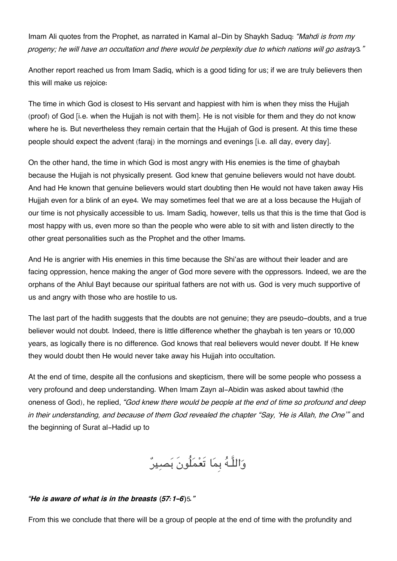Imam Ali quotes from the Prophet, as narrated in Kamal al-Din by Shaykh Saduq: *"Mahdi is from my progeny; he will have an occultation and there would be perplexity due to which nations will go astray*[3](#page--1-0)*."*

Another report reached us from Imam Sadiq, which is a good tiding for us; if we are truly believers then this will make us rejoice:

The time in which God is closest to His servant and happiest with him is when they miss the Hujjah (proof) of God [i.e. when the Hujjah is not with them]. He is not visible for them and they do not know where he is. But nevertheless they remain certain that the Hujjah of God is present. At this time these people should expect the advent (faraj) in the mornings and evenings [i.e. all day, every day].

On the other hand, the time in which God is most angry with His enemies is the time of ghaybah because the Hujjah is not physically present. God knew that genuine believers would not have doubt. And had He known that genuine believers would start doubting then He would not have taken away His Hujjah even for a blink of an eye[4](#page--1-0). We may sometimes feel that we are at a loss because the Hujjah of our time is not physically accessible to us. Imam Sadiq, however, tells us that this is the time that God is most happy with us, even more so than the people who were able to sit with and listen directly to the other great personalities such as the Prophet and the other Imams.

And He is angrier with His enemies in this time because the Shi'as are without their leader and are facing oppression, hence making the anger of God more severe with the oppressors. Indeed, we are the orphans of the Ahlul Bayt because our spiritual fathers are not with us. God is very much supportive of us and angry with those who are hostile to us.

The last part of the hadith suggests that the doubts are not genuine; they are pseudo-doubts, and a true believer would not doubt. Indeed, there is little difference whether the ghaybah is ten years or 10,000 years, as logically there is no difference. God knows that real believers would never doubt. If He knew they would doubt then He would never take away his Hujjah into occultation.

At the end of time, despite all the confusions and skepticism, there will be some people who possess a very profound and deep understanding. When Imam Zayn al-Abidin was asked about tawhid (the oneness of God), he replied, *"God knew there would be people at the end of time so profound and deep in their understanding, and because of them God revealed the chapter "Say, 'He is Allah, the One'"* and the beginning of Surat al-Hadid up to

واللَّـه بِما تَعملُونَ بصير

#### *"He is aware of what is in the breasts (57:1-6)*[5](#page--1-0)*."*

From this we conclude that there will be a group of people at the end of time with the profundity and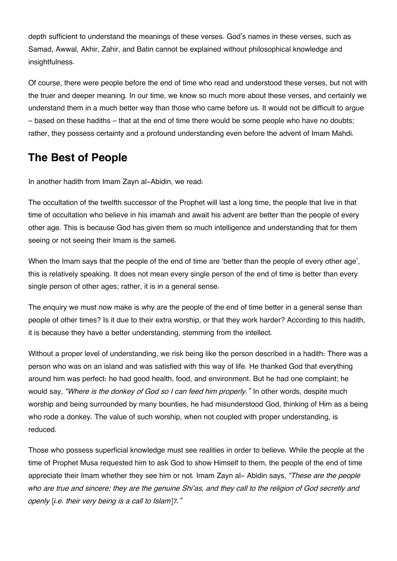depth sufficient to understand the meanings of these verses. God's names in these verses, such as Samad, Awwal, Akhir, Zahir, and Batin cannot be explained without philosophical knowledge and insightfulness.

Of course, there were people before the end of time who read and understood these verses, but not with the truer and deeper meaning. In our time, we know so much more about these verses, and certainly we understand them in a much better way than those who came before us. It would not be difficult to argue – based on these hadiths – that at the end of time there would be some people who have no doubts; rather, they possess certainty and a profound understanding even before the advent of Imam Mahdi.

## **[The Best of People](#page--1-0)**

In another hadith from Imam Zayn al-Abidin, we read:

The occultation of the twelfth successor of the Prophet will last a long time, the people that live in that time of occultation who believe in his imamah and await his advent are better than the people of every other age. This is because God has given them so much intelligence and understanding that for them seeing or not seeing their Imam is the same[6](#page--1-0).

When the Imam says that the people of the end of time are 'better than the people of every other age', this is relatively speaking. It does not mean every single person of the end of time is better than every single person of other ages; rather, it is in a general sense.

The enquiry we must now make is why are the people of the end of time better in a general sense than people of other times? Is it due to their extra worship, or that they work harder? According to this hadith, it is because they have a better understanding, stemming from the intellect.

Without a proper level of understanding, we risk being like the person described in a hadith: There was a person who was on an island and was satisfied with this way of life. He thanked God that everything around him was perfect: he had good health, food, and environment. But he had one complaint; he would say, *"Where is the donkey of God so I can feed him properly."* In other words, despite much worship and being surrounded by many bounties, he had misunderstood God, thinking of Him as a being who rode a donkey. The value of such worship, when not coupled with proper understanding, is reduced.

Those who possess superficial knowledge must see realities in order to believe. While the people at the time of Prophet Musa requested him to ask God to show Himself to them, the people of the end of time appreciate their Imam whether they see him or not. Imam Zayn al- Abidin says, *"These are the people who are true and sincere; they are the genuine Shi'as, and they call to the religion of God secretly and openly [i.e. their very being is a call to Islam]*[7](#page--1-0)*."*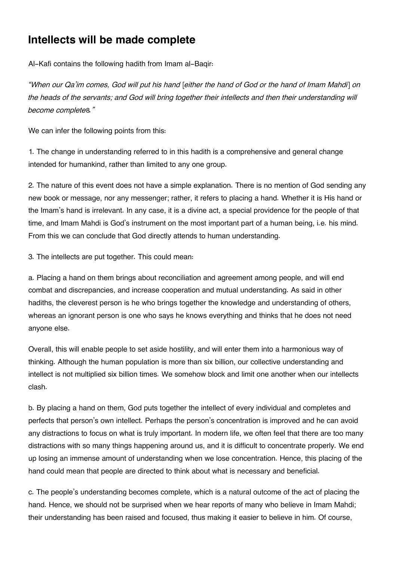## **[Intellects will be made complete](#page--1-0)**

Al-Kafi contains the following hadith from Imam al-Baqir:

*"When our Qa'im comes, God will put his hand [either the hand of God or the hand of Imam Mahdi] on the heads of the servants; and God will bring together their intellects and then their understanding will become complete*[8](#page--1-0)*."*

We can infer the following points from this:

1. The change in understanding referred to in this hadith is a comprehensive and general change intended for humankind, rather than limited to any one group.

2. The nature of this event does not have a simple explanation. There is no mention of God sending any new book or message, nor any messenger; rather, it refers to placing a hand. Whether it is His hand or the Imam's hand is irrelevant. In any case, it is a divine act, a special providence for the people of that time, and Imam Mahdi is God's instrument on the most important part of a human being, i.e. his mind. From this we can conclude that God directly attends to human understanding.

3. The intellects are put together. This could mean:

a. Placing a hand on them brings about reconciliation and agreement among people, and will end combat and discrepancies, and increase cooperation and mutual understanding. As said in other hadiths, the cleverest person is he who brings together the knowledge and understanding of others, whereas an ignorant person is one who says he knows everything and thinks that he does not need anyone else.

Overall, this will enable people to set aside hostility, and will enter them into a harmonious way of thinking. Although the human population is more than six billion, our collective understanding and intellect is not multiplied six billion times. We somehow block and limit one another when our intellects clash.

b. By placing a hand on them, God puts together the intellect of every individual and completes and perfects that person's own intellect. Perhaps the person's concentration is improved and he can avoid any distractions to focus on what is truly important. In modern life, we often feel that there are too many distractions with so many things happening around us, and it is difficult to concentrate properly. We end up losing an immense amount of understanding when we lose concentration. Hence, this placing of the hand could mean that people are directed to think about what is necessary and beneficial.

c. The people's understanding becomes complete, which is a natural outcome of the act of placing the hand. Hence, we should not be surprised when we hear reports of many who believe in Imam Mahdi; their understanding has been raised and focused, thus making it easier to believe in him. Of course,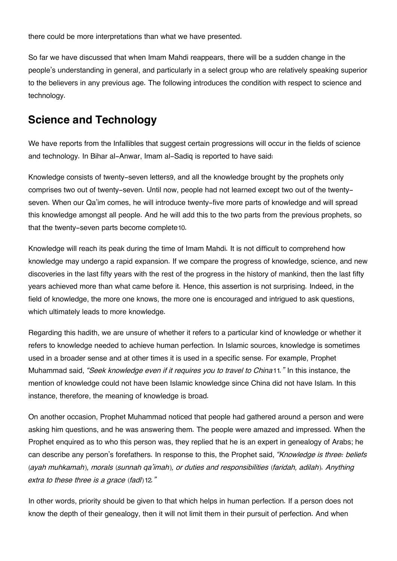there could be more interpretations than what we have presented.

So far we have discussed that when Imam Mahdi reappears, there will be a sudden change in the people's understanding in general, and particularly in a select group who are relatively speaking superior to the believers in any previous age. The following introduces the condition with respect to science and technology.

### **[Science and Technology](#page--1-0)**

We have reports from the Infallibles that suggest certain progressions will occur in the fields of science and technology. In Bihar al-Anwar, Imam al-Sadiq is reported to have said:

Knowledge consists of twenty-seven letters[9](#page--1-0), and all the knowledge brought by the prophets only comprises two out of twenty-seven. Until now, people had not learned except two out of the twentyseven. When our Qa'im comes, he will introduce twenty-five more parts of knowledge and will spread this knowledge amongst all people. And he will add this to the two parts from the previous prophets, so that the twenty-seven parts become complete[10](#page--1-0).

Knowledge will reach its peak during the time of Imam Mahdi. It is not difficult to comprehend how knowledge may undergo a rapid expansion. If we compare the progress of knowledge, science, and new discoveries in the last fifty years with the rest of the progress in the history of mankind, then the last fifty years achieved more than what came before it. Hence, this assertion is not surprising. Indeed, in the field of knowledge, the more one knows, the more one is encouraged and intrigued to ask questions, which ultimately leads to more knowledge.

Regarding this hadith, we are unsure of whether it refers to a particular kind of knowledge or whether it refers to knowledge needed to achieve human perfection. In Islamic sources, knowledge is sometimes used in a broader sense and at other times it is used in a specific sense. For example, Prophet Muhammad said, *"Seek knowledge even if it requires you to travel to China*[11](#page--1-0)*."* In this instance, the mention of knowledge could not have been Islamic knowledge since China did not have Islam. In this instance, therefore, the meaning of knowledge is broad.

On another occasion, Prophet Muhammad noticed that people had gathered around a person and were asking him questions, and he was answering them. The people were amazed and impressed. When the Prophet enquired as to who this person was, they replied that he is an expert in genealogy of Arabs; he can describe any person's forefathers. In response to this, the Prophet said, *"Knowledge is three: beliefs (ayah muhkamah), morals (sunnah qa'imah), or duties and responsibilities (faridah, adilah). Anything extra to these three is a grace (fadl)*[12](#page--1-0)*."*

In other words, priority should be given to that which helps in human perfection. If a person does not know the depth of their genealogy, then it will not limit them in their pursuit of perfection. And when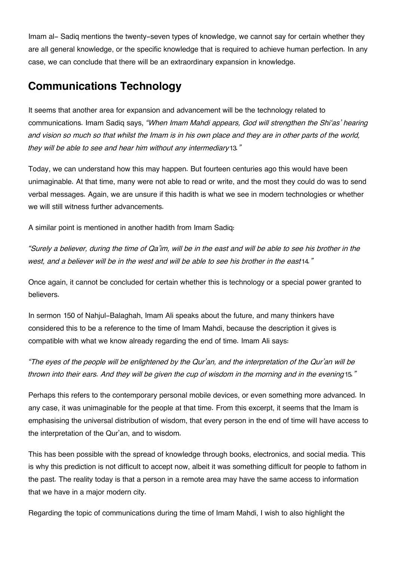Imam al- Sadiq mentions the twenty-seven types of knowledge, we cannot say for certain whether they are all general knowledge, or the specific knowledge that is required to achieve human perfection. In any case, we can conclude that there will be an extraordinary expansion in knowledge.

## **[Communications Technology](#page--1-0)**

It seems that another area for expansion and advancement will be the technology related to communications. Imam Sadiq says, *"When Imam Mahdi appears, God will strengthen the Shi'as' hearing and vision so much so that whilst the Imam is in his own place and they are in other parts of the world, they will be able to see and hear him without any intermediary*[13](#page--1-0)*."*

Today, we can understand how this may happen. But fourteen centuries ago this would have been unimaginable. At that time, many were not able to read or write, and the most they could do was to send verbal messages. Again, we are unsure if this hadith is what we see in modern technologies or whether we will still witness further advancements.

A similar point is mentioned in another hadith from Imam Sadiq:

*"Surely a believer, during the time of Qa'im, will be in the east and will be able to see his brother in the west, and a believer will be in the west and will be able to see his brother in the east*[14](#page--1-0)*."*

Once again, it cannot be concluded for certain whether this is technology or a special power granted to believers.

In sermon 150 of Nahjul-Balaghah, Imam Ali speaks about the future, and many thinkers have considered this to be a reference to the time of Imam Mahdi, because the description it gives is compatible with what we know already regarding the end of time. Imam Ali says:

*"The eyes of the people will be enlightened by the Qur'an, and the interpretation of the Qur'an will be thrown into their ears. And they will be given the cup of wisdom in the morning and in the evening*[15](#page--1-0)*."*

Perhaps this refers to the contemporary personal mobile devices, or even something more advanced. In any case, it was unimaginable for the people at that time. From this excerpt, it seems that the Imam is emphasising the universal distribution of wisdom, that every person in the end of time will have access to the interpretation of the Qur'an, and to wisdom.

This has been possible with the spread of knowledge through books, electronics, and social media. This is why this prediction is not difficult to accept now, albeit it was something difficult for people to fathom in the past. The reality today is that a person in a remote area may have the same access to information that we have in a major modern city.

Regarding the topic of communications during the time of Imam Mahdi, I wish to also highlight the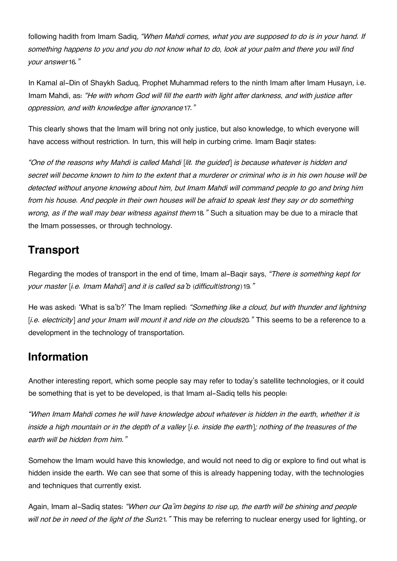following hadith from Imam Sadiq, *"When Mahdi comes, what you are supposed to do is in your hand. If something happens to you and you do not know what to do, look at your palm and there you will find your answer*[16](#page--1-0)*."*

In Kamal al-Din of Shaykh Saduq, Prophet Muhammad refers to the ninth Imam after Imam Husayn, i.e. Imam Mahdi, as: *"He with whom God will fill the earth with light after darkness, and with justice after oppression, and with knowledge after ignorance*[17](#page--1-0)*."*

This clearly shows that the Imam will bring not only justice, but also knowledge, to which everyone will have access without restriction. In turn, this will help in curbing crime. Imam Baqir states:

*"One of the reasons why Mahdi is called Mahdi [lit. the guided] is because whatever is hidden and secret will become known to him to the extent that a murderer or criminal who is in his own house will be detected without anyone knowing about him, but Imam Mahdi will command people to go and bring him from his house. And people in their own houses will be afraid to speak lest they say or do something wrong, as if the wall may bear witness against them*[18](#page--1-0)*."* Such a situation may be due to a miracle that the Imam possesses, or through technology.

## **[Transport](#page--1-0)**

Regarding the modes of transport in the end of time, Imam al-Baqir says, *"There is something kept for your master [i.e. Imam Mahdi] and it is called sa'b (difficult/strong)*[19](#page--1-0)*."*

He was asked: 'What is sa'b?' The Imam replied: *"Something like a cloud, but with thunder and lightning* [*i.e. electricity*] and your Imam will mount it and ride on the clouds [20](#page--1-0)." This seems to be a reference to a development in the technology of transportation.

## **[Information](#page--1-0)**

Another interesting report, which some people say may refer to today's satellite technologies, or it could be something that is yet to be developed, is that Imam al-Sadiq tells his people:

*"When Imam Mahdi comes he will have knowledge about whatever is hidden in the earth, whether it is inside a high mountain or in the depth of a valley [i.e. inside the earth]; nothing of the treasures of the earth will be hidden from him."*

Somehow the Imam would have this knowledge, and would not need to dig or explore to find out what is hidden inside the earth. We can see that some of this is already happening today, with the technologies and techniques that currently exist.

Again, Imam al-Sadiq states: *"When our Qa'im begins to rise up, the earth will be shining and people will not be in need of the light of the Sun*[21](#page--1-0)*."* This may be referring to nuclear energy used for lighting, or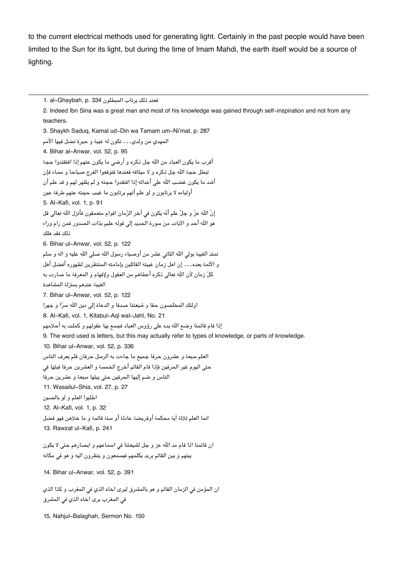to the current electrical methods used for generating light. Certainly in the past people would have been limited to the Sun for its light, but during the time of Imam Mahdi, the earth itself would be a source of lighting.

فعند ذلك يرتاب المبطلون 334 .al-Ghaybah, p. 334 [2.](#page--1-0) Indeed Ibn Sina was a great man and most of his knowledge was gained through self-inspiration and not from any teachers. [3.](#page--1-0) Shaykh Saduq, Kamal ud-Din wa Tamam um-Ni'mat, p. 287 المهدي من ولدي۔۔۔ تون له غيبة و حيرة تضل فيها الأمم [4.](#page--1-0) Bihar al-Anwar, vol. 52, p. 95 أقرب ما يكون العباد من اللّه جل ذكره و أرضى ما يكون عنهم إذا افتقتدوا حجة تبطل حجة اله جل ذكره و لا ميثاقه فعندها فتوقعوا الفرج صباحا و مساء فإن أشد ما يكون غضب اللّه على أعدائه إذا افتقدوا حجته و لم يظهر لهم و قد علم أن أولياءه لا يرتابون و لو علم أنهم يرتابون ما غيب حجته عنهم طرفة عين [5.](#page--1-0) Al-Kafi, vol. 1, p. 91 إنّ اللّه عزّ و جلّ علم أنّه يكون في آخر الزّمان اقوام متعمقون فأنزل اللّه تعالى قل هو اله أحد و الايات من سورة الحديد إل قوله عليم بذات الصدور فمن رام وراء ذلك فقد هلك [6.](#page--1-0) Bihar ul-Anwar, vol. 52, p. 122 تمتد الغيبة بولى اللّه الثانى عشر من أوصياء رسول اللّه صلى اللّه عليه و اله و سلم و الأئمة بعده۔۔۔ إن اهل زمان غيبته القائلين بإمامته المنتظرين لظهوره أفضل أهل كلّ زمان لأن اللّه تعالى ذكره أعطاهم من العقول ولإفهام و المعرفة ما صارت به الغيبة عندهم بمنزلة المشاهدة [7.](#page--1-0) Bihar ul-Anwar, vol. 52, p. 122 اولئك المخلصون حقا و شيعتنا صدقا و الدعاة إل دين اله سرا و جهرا [8.](#page--1-0) Al-Kafi, vol. 1, Kitabul-Aql wal-Jahl, No. 21 إذا قام قائمنا وضم اللّه يده على رؤوس العباد فجمم بها عقولهم و كملت به أحلامهم [9.](#page--1-0) The word used is letters, but this may actually refer to types of knowledge, or parts of knowledge. [10.](#page--1-0) Bihar ul-Anwar, vol. 52, p. 336 العلم سبعة و عشرون حرفا جميع ما جاءت به الرسل حرفان فلم يعرف الناس حتى اليوم غير الحرفين فإذا قام القائم أخرج الخمسة و العشرين حرفا فبثها فى الناس و ضم إليها الحرفين حت يبثها سبعة و عشرين حرفا [11.](#page--1-0) Wasailul-Shia, vol. 27, p. 27 اطلبوا العلم و لو بالصين [12.](#page--1-0) Al-Kafi, vol. 1, p. 32 انما العلم ثلاثة اَية محمة أوفريضة عادلة أو سنة قائمة و ما خلاهن فهو فضل [13.](#page--1-0) Rawzat ul-Kafi, p. 241 ان قائمنا اذا قام مد اللّه عز و جل لشيعتنا في اسماعهم و ابصارهم حتى لا يكون بينهم و بين القائم بريد يكلمهم فيسمعون و ينظرون اليه و هو في مكانه [14.](#page--1-0) Bihar ul-Anwar, vol. 52, p. 391 ان المؤمن في الزمان القائم و هو بالمشرق ليرى اخاه الذي في المغرب و كذا الذي في المغرب يرى اخاه الذي في المشرق [15.](#page--1-0) Nahjul-Balaghah, Sermon No. 150